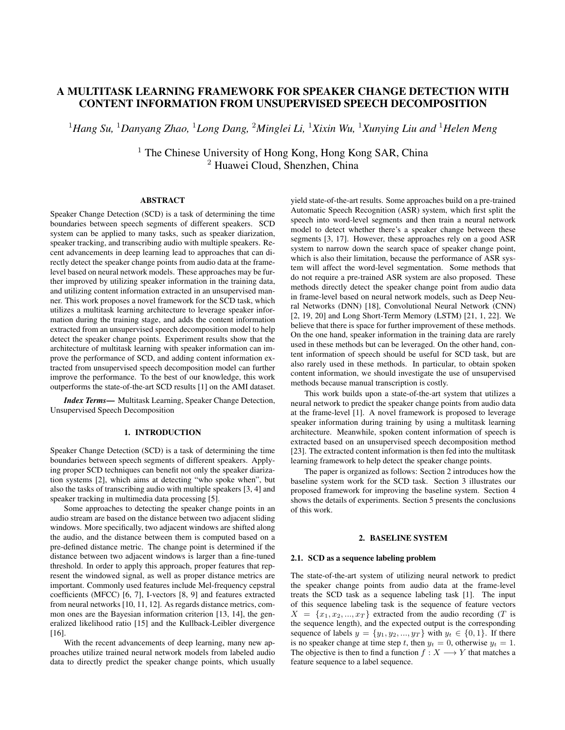# A MULTITASK LEARNING FRAMEWORK FOR SPEAKER CHANGE DETECTION WITH CONTENT INFORMATION FROM UNSUPERVISED SPEECH DECOMPOSITION

<sup>1</sup>*Hang Su,* <sup>1</sup>*Danyang Zhao,* <sup>1</sup>*Long Dang,* <sup>2</sup>*Minglei Li,* <sup>1</sup>*Xixin Wu,* <sup>1</sup>*Xunying Liu and* <sup>1</sup>*Helen Meng*

 $1$  The Chinese University of Hong Kong, Hong Kong SAR, China <sup>2</sup> Huawei Cloud, Shenzhen, China

## ABSTRACT

Speaker Change Detection (SCD) is a task of determining the time boundaries between speech segments of different speakers. SCD system can be applied to many tasks, such as speaker diarization, speaker tracking, and transcribing audio with multiple speakers. Recent advancements in deep learning lead to approaches that can directly detect the speaker change points from audio data at the framelevel based on neural network models. These approaches may be further improved by utilizing speaker information in the training data, and utilizing content information extracted in an unsupervised manner. This work proposes a novel framework for the SCD task, which utilizes a multitask learning architecture to leverage speaker information during the training stage, and adds the content information extracted from an unsupervised speech decomposition model to help detect the speaker change points. Experiment results show that the architecture of multitask learning with speaker information can improve the performance of SCD, and adding content information extracted from unsupervised speech decomposition model can further improve the performance. To the best of our knowledge, this work outperforms the state-of-the-art SCD results [1] on the AMI dataset.

*Index Terms*— Multitask Learning, Speaker Change Detection, Unsupervised Speech Decomposition

### 1. INTRODUCTION

Speaker Change Detection (SCD) is a task of determining the time boundaries between speech segments of different speakers. Applying proper SCD techniques can benefit not only the speaker diarization systems [2], which aims at detecting "who spoke when", but also the tasks of transcribing audio with multiple speakers [3, 4] and speaker tracking in multimedia data processing [5].

Some approaches to detecting the speaker change points in an audio stream are based on the distance between two adjacent sliding windows. More specifically, two adjacent windows are shifted along the audio, and the distance between them is computed based on a pre-defined distance metric. The change point is determined if the distance between two adjacent windows is larger than a fine-tuned threshold. In order to apply this approach, proper features that represent the windowed signal, as well as proper distance metrics are important. Commonly used features include Mel-frequency cepstral coefficients (MFCC) [6, 7], I-vectors [8, 9] and features extracted from neural networks [10, 11, 12]. As regards distance metrics, common ones are the Bayesian information criterion [13, 14], the generalized likelihood ratio [15] and the Kullback-Leibler divergence [16].

With the recent advancements of deep learning, many new approaches utilize trained neural network models from labeled audio data to directly predict the speaker change points, which usually

yield state-of-the-art results. Some approaches build on a pre-trained Automatic Speech Recognition (ASR) system, which first split the speech into word-level segments and then train a neural network model to detect whether there's a speaker change between these segments [3, 17]. However, these approaches rely on a good ASR system to narrow down the search space of speaker change point, which is also their limitation, because the performance of ASR system will affect the word-level segmentation. Some methods that do not require a pre-trained ASR system are also proposed. These methods directly detect the speaker change point from audio data in frame-level based on neural network models, such as Deep Neural Networks (DNN) [18], Convolutional Neural Network (CNN) [2, 19, 20] and Long Short-Term Memory (LSTM) [21, 1, 22]. We believe that there is space for further improvement of these methods. On the one hand, speaker information in the training data are rarely used in these methods but can be leveraged. On the other hand, content information of speech should be useful for SCD task, but are also rarely used in these methods. In particular, to obtain spoken content information, we should investigate the use of unsupervised methods because manual transcription is costly.

This work builds upon a state-of-the-art system that utilizes a neural network to predict the speaker change points from audio data at the frame-level [1]. A novel framework is proposed to leverage speaker information during training by using a multitask learning architecture. Meanwhile, spoken content information of speech is extracted based on an unsupervised speech decomposition method [23]. The extracted content information is then fed into the multitask learning framework to help detect the speaker change points.

The paper is organized as follows: Section 2 introduces how the baseline system work for the SCD task. Section 3 illustrates our proposed framework for improving the baseline system. Section 4 shows the details of experiments. Section 5 presents the conclusions of this work.

### 2. BASELINE SYSTEM

#### 2.1. SCD as a sequence labeling problem

The state-of-the-art system of utilizing neural network to predict the speaker change points from audio data at the frame-level treats the SCD task as a sequence labeling task [1]. The input of this sequence labeling task is the sequence of feature vectors  $X = \{x_1, x_2, ..., x_T\}$  extracted from the audio recording (T is the sequence length), and the expected output is the corresponding sequence of labels  $y = \{y_1, y_2, ..., y_T\}$  with  $y_t \in \{0, 1\}$ . If there is no speaker change at time step t, then  $y_t = 0$ , otherwise  $y_t = 1$ . The objective is then to find a function  $f : X \longrightarrow Y$  that matches a feature sequence to a label sequence.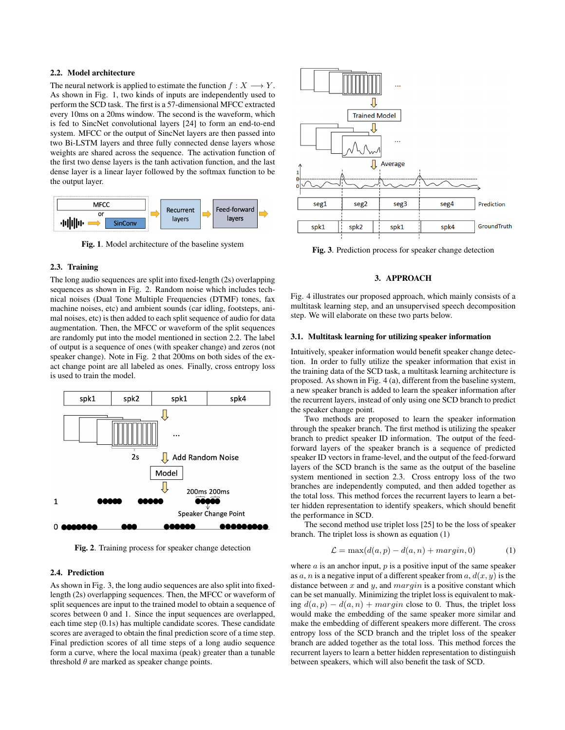### 2.2. Model architecture

The neural network is applied to estimate the function  $f: X \longrightarrow Y$ . As shown in Fig. 1, two kinds of inputs are independently used to perform the SCD task. The first is a 57-dimensional MFCC extracted every 10ms on a 20ms window. The second is the waveform, which is fed to SincNet convolutional layers [24] to form an end-to-end system. MFCC or the output of SincNet layers are then passed into two Bi-LSTM layers and three fully connected dense layers whose weights are shared across the sequence. The activation function of the first two dense layers is the tanh activation function, and the last dense layer is a linear layer followed by the softmax function to be the output layer.



Fig. 1. Model architecture of the baseline system

## 2.3. Training

The long audio sequences are split into fixed-length (2s) overlapping sequences as shown in Fig. 2. Random noise which includes technical noises (Dual Tone Multiple Frequencies (DTMF) tones, fax machine noises, etc) and ambient sounds (car idling, footsteps, animal noises, etc) is then added to each split sequence of audio for data augmentation. Then, the MFCC or waveform of the split sequences are randomly put into the model mentioned in section 2.2. The label of output is a sequence of ones (with speaker change) and zeros (not speaker change). Note in Fig. 2 that 200ms on both sides of the exact change point are all labeled as ones. Finally, cross entropy loss is used to train the model.



Fig. 2. Training process for speaker change detection

### 2.4. Prediction

As shown in Fig. 3, the long audio sequences are also split into fixedlength (2s) overlapping sequences. Then, the MFCC or waveform of split sequences are input to the trained model to obtain a sequence of scores between 0 and 1. Since the input sequences are overlapped, each time step (0.1s) has multiple candidate scores. These candidate scores are averaged to obtain the final prediction score of a time step. Final prediction scores of all time steps of a long audio sequence form a curve, where the local maxima (peak) greater than a tunable threshold  $\theta$  are marked as speaker change points.



Fig. 3. Prediction process for speaker change detection

### 3. APPROACH

Fig. 4 illustrates our proposed approach, which mainly consists of a multitask learning step, and an unsupervised speech decomposition step. We will elaborate on these two parts below.

### 3.1. Multitask learning for utilizing speaker information

Intuitively, speaker information would benefit speaker change detection. In order to fully utilize the speaker information that exist in the training data of the SCD task, a multitask learning architecture is proposed. As shown in Fig. 4 (a), different from the baseline system, a new speaker branch is added to learn the speaker information after the recurrent layers, instead of only using one SCD branch to predict the speaker change point.

Two methods are proposed to learn the speaker information through the speaker branch. The first method is utilizing the speaker branch to predict speaker ID information. The output of the feedforward layers of the speaker branch is a sequence of predicted speaker ID vectors in frame-level, and the output of the feed-forward layers of the SCD branch is the same as the output of the baseline system mentioned in section 2.3. Cross entropy loss of the two branches are independently computed, and then added together as the total loss. This method forces the recurrent layers to learn a better hidden representation to identify speakers, which should benefit the performance in SCD.

The second method use triplet loss [25] to be the loss of speaker branch. The triplet loss is shown as equation (1)

$$
\mathcal{L} = \max(d(a, p) - d(a, n) + margin, 0) \tag{1}
$$

where  $a$  is an anchor input,  $p$  is a positive input of the same speaker as  $a, n$  is a negative input of a different speaker from  $a, d(x, y)$  is the distance between  $x$  and  $y$ , and  $margin$  is a positive constant which can be set manually. Minimizing the triplet loss is equivalent to making  $d(a, p) - d(a, n) + margin$  close to 0. Thus, the triplet loss would make the embedding of the same speaker more similar and make the embedding of different speakers more different. The cross entropy loss of the SCD branch and the triplet loss of the speaker branch are added together as the total loss. This method forces the recurrent layers to learn a better hidden representation to distinguish between speakers, which will also benefit the task of SCD.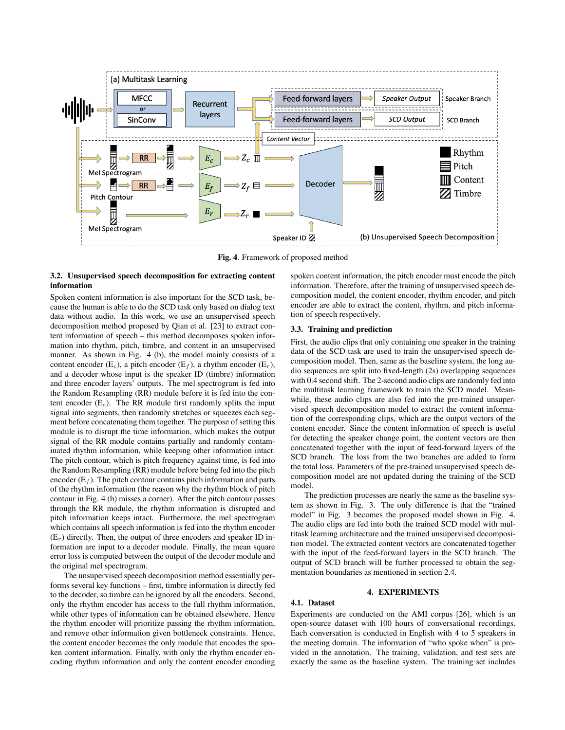

Fig. 4. Framework of proposed method

## 3.2. Unsupervised speech decomposition for extracting content information

Spoken content information is also important for the SCD task, because the human is able to do the SCD task only based on dialog text data without audio. In this work, we use an unsupervised speech decomposition method proposed by Qian et al. [23] to extract content information of speech – this method decomposes spoken information into rhythm, pitch, timbre, and content in an unsupervised manner. As shown in Fig. 4 (b), the model mainly consists of a content encoder (E<sub>c</sub>), a pitch encoder (E<sub>f</sub>), a rhythm encoder (E<sub>r</sub>), and a decoder whose input is the speaker ID (timbre) information and three encoder layers' outputs. The mel spectrogram is fed into the Random Resampling (RR) module before it is fed into the content encoder  $(E_c)$ . The RR module first randomly splits the input signal into segments, then randomly stretches or squeezes each segment before concatenating them together. The purpose of setting this module is to disrupt the time information, which makes the output signal of the RR module contains partially and randomly contaminated rhythm information, while keeping other information intact. The pitch contour, which is pitch frequency against time, is fed into the Random Resampling (RR) module before being fed into the pitch encoder  $(E_f)$ . The pitch contour contains pitch information and parts of the rhythm information (the reason why the rhythm block of pitch contour in Fig. 4 (b) misses a corner). After the pitch contour passes through the RR module, the rhythm information is disrupted and pitch information keeps intact. Furthermore, the mel spectrogram which contains all speech information is fed into the rhythm encoder  $(E_r)$  directly. Then, the output of three encoders and speaker ID information are input to a decoder module. Finally, the mean square error loss is computed between the output of the decoder module and the original mel spectrogram.

The unsupervised speech decomposition method essentially performs several key functions – first, timbre information is directly fed to the decoder, so timbre can be ignored by all the encoders. Second, only the rhythm encoder has access to the full rhythm information, while other types of information can be obtained elsewhere. Hence the rhythm encoder will prioritize passing the rhythm information, and remove other information given bottleneck constraints. Hence, the content encoder becomes the only module that encodes the spoken content information. Finally, with only the rhythm encoder encoding rhythm information and only the content encoder encoding

spoken content information, the pitch encoder must encode the pitch information. Therefore, after the training of unsupervised speech decomposition model, the content encoder, rhythm encoder, and pitch encoder are able to extract the content, rhythm, and pitch information of speech respectively.

### 3.3. Training and prediction

First, the audio clips that only containing one speaker in the training data of the SCD task are used to train the unsupervised speech decomposition model. Then, same as the baseline system, the long audio sequences are split into fixed-length (2s) overlapping sequences with 0.4 second shift. The 2-second audio clips are randomly fed into the multitask learning framework to train the SCD model. Meanwhile, these audio clips are also fed into the pre-trained unsupervised speech decomposition model to extract the content information of the corresponding clips, which are the output vectors of the content encoder. Since the content information of speech is useful for detecting the speaker change point, the content vectors are then concatenated together with the input of feed-forward layers of the SCD branch. The loss from the two branches are added to form the total loss. Parameters of the pre-trained unsupervised speech decomposition model are not updated during the training of the SCD model.

The prediction processes are nearly the same as the baseline system as shown in Fig. 3. The only difference is that the "trained model" in Fig. 3 becomes the proposed model shown in Fig. 4. The audio clips are fed into both the trained SCD model with multitask learning architecture and the trained unsupervised decomposition model. The extracted content vectors are concatenated together with the input of the feed-forward layers in the SCD branch. The output of SCD branch will be further processed to obtain the segmentation boundaries as mentioned in section 2.4.

## 4. EXPERIMENTS

# 4.1. Dataset

Experiments are conducted on the AMI corpus [26], which is an open-source dataset with 100 hours of conversational recordings. Each conversation is conducted in English with 4 to 5 speakers in the meeting domain. The information of "who spoke when" is provided in the annotation. The training, validation, and test sets are exactly the same as the baseline system. The training set includes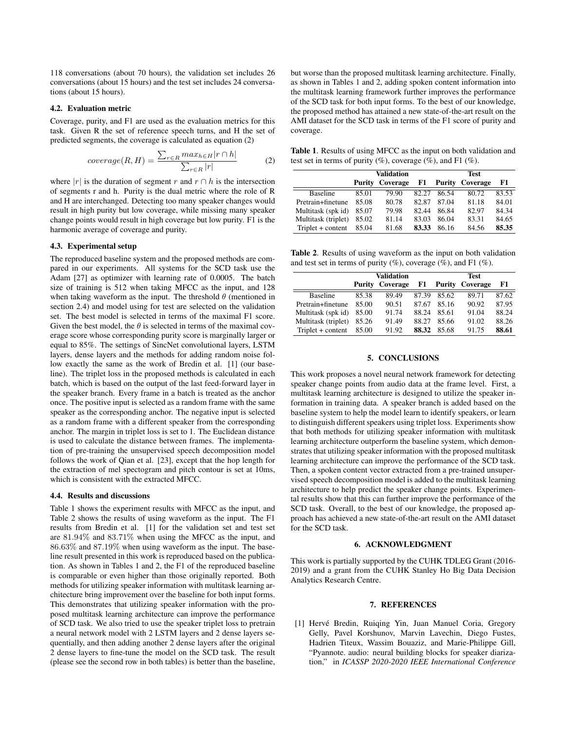118 conversations (about 70 hours), the validation set includes 26 conversations (about 15 hours) and the test set includes 24 conversations (about 15 hours).

#### 4.2. Evaluation metric

Coverage, purity, and F1 are used as the evaluation metrics for this task. Given R the set of reference speech turns, and H the set of predicted segments, the coverage is calculated as equation (2)

$$
coverage(R,H) = \frac{\sum_{r \in R} max_{h \in H} |r \cap h|}{\sum_{r \in R} |r|}
$$
 (2)

where |r| is the duration of segment r and  $r \cap h$  is the intersection of segments r and h. Purity is the dual metric where the role of R and H are interchanged. Detecting too many speaker changes would result in high purity but low coverage, while missing many speaker change points would result in high coverage but low purity. F1 is the harmonic average of coverage and purity.

### 4.3. Experimental setup

The reproduced baseline system and the proposed methods are compared in our experiments. All systems for the SCD task use the Adam [27] as optimizer with learning rate of 0.0005. The batch size of training is 512 when taking MFCC as the input, and 128 when taking waveform as the input. The threshold  $\theta$  (mentioned in section 2.4) and model using for test are selected on the validation set. The best model is selected in terms of the maximal F1 score. Given the best model, the  $\theta$  is selected in terms of the maximal coverage score whose corresponding purity score is marginally larger or equal to 85%. The settings of SincNet convolutional layers, LSTM layers, dense layers and the methods for adding random noise follow exactly the same as the work of Bredin et al. [1] (our baseline). The triplet loss in the proposed methods is calculated in each batch, which is based on the output of the last feed-forward layer in the speaker branch. Every frame in a batch is treated as the anchor once. The positive input is selected as a random frame with the same speaker as the corresponding anchor. The negative input is selected as a random frame with a different speaker from the corresponding anchor. The margin in triplet loss is set to 1. The Euclidean distance is used to calculate the distance between frames. The implementation of pre-training the unsupervised speech decomposition model follows the work of Qian et al. [23], except that the hop length for the extraction of mel spectogram and pitch contour is set at 10ms, which is consistent with the extracted MFCC.

#### 4.4. Results and discussions

Table 1 shows the experiment results with MFCC as the input, and Table 2 shows the results of using waveform as the input. The F1 results from Bredin et al. [1] for the validation set and test set are 81.94% and 83.71% when using the MFCC as the input, and 86.63% and 87.19% when using waveform as the input. The baseline result presented in this work is reproduced based on the publication. As shown in Tables 1 and 2, the F1 of the reproduced baseline is comparable or even higher than those originally reported. Both methods for utilizing speaker information with multitask learning architecture bring improvement over the baseline for both input forms. This demonstrates that utilizing speaker information with the proposed multitask learning architecture can improve the performance of SCD task. We also tried to use the speaker triplet loss to pretrain a neural network model with 2 LSTM layers and 2 dense layers sequentially, and then adding another 2 dense layers after the original 2 dense layers to fine-tune the model on the SCD task. The result (please see the second row in both tables) is better than the baseline, but worse than the proposed multitask learning architecture. Finally, as shown in Tables 1 and 2, adding spoken content information into the multitask learning framework further improves the performance of the SCD task for both input forms. To the best of our knowledge, the proposed method has attained a new state-of-the-art result on the AMI dataset for the SCD task in terms of the F1 score of purity and coverage.

Table 1. Results of using MFCC as the input on both validation and test set in terms of purity  $(\%)$ , coverage  $(\%)$ , and F1  $(\%)$ .

|                     | Validation |                        |       | Test  |                        |       |
|---------------------|------------|------------------------|-------|-------|------------------------|-------|
|                     |            | <b>Purity Coverage</b> | F1    |       | <b>Purity Coverage</b> | F1    |
| <b>Baseline</b>     | 85.01      | 79.90                  | 82.27 | 86.54 | 80.72                  | 83.53 |
| Pretrain+finetune   | 85.08      | 80.78                  | 82.87 | 87.04 | 81.18                  | 84.01 |
| Multitask (spk id)  | 85.07      | 79.98                  | 82.44 | 86.84 | 82.97                  | 84.34 |
| Multitask (triplet) | 85.02      | 81.14                  | 83.03 | 86.04 | 83.31                  | 84.65 |
| $Triplet + content$ | 85.04      | 81.68                  | 83.33 | 86.16 | 84.56                  | 85.35 |

Table 2. Results of using waveform as the input on both validation and test set in terms of purity  $(\%)$ , coverage  $(\%)$ , and F1  $(\%)$ .

|                     | Validation |                        |       | <b>Test</b> |                        |       |
|---------------------|------------|------------------------|-------|-------------|------------------------|-------|
|                     |            | <b>Purity Coverage</b> | F1    |             | <b>Purity Coverage</b> | F1    |
| <b>Baseline</b>     | 85.38      | 89.49                  | 87.39 | 85.62       | 89.71                  | 87.62 |
| Pretrain+finetune   | 85.00      | 90.51                  | 87.67 | 85.16       | 90.92                  | 87.95 |
| Multitask (spk id)  | 85.00      | 91.74                  | 88.24 | 85.61       | 91.04                  | 88.24 |
| Multitask (triplet) | 85.26      | 91.49                  | 88.27 | 85.66       | 91.02                  | 88.26 |
| $Triplet + content$ | 85.00      | 91.92                  | 88.32 | 85.68       | 91.75                  | 88.61 |

### 5. CONCLUSIONS

This work proposes a novel neural network framework for detecting speaker change points from audio data at the frame level. First, a multitask learning architecture is designed to utilize the speaker information in training data. A speaker branch is added based on the baseline system to help the model learn to identify speakers, or learn to distinguish different speakers using triplet loss. Experiments show that both methods for utilizing speaker information with multitask learning architecture outperform the baseline system, which demonstrates that utilizing speaker information with the proposed multitask learning architecture can improve the performance of the SCD task. Then, a spoken content vector extracted from a pre-trained unsupervised speech decomposition model is added to the multitask learning architecture to help predict the speaker change points. Experimental results show that this can further improve the performance of the SCD task. Overall, to the best of our knowledge, the proposed approach has achieved a new state-of-the-art result on the AMI dataset for the SCD task.

### 6. ACKNOWLEDGMENT

This work is partially supported by the CUHK TDLEG Grant (2016- 2019) and a grant from the CUHK Stanley Ho Big Data Decision Analytics Research Centre.

#### 7. REFERENCES

[1] Hervé Bredin, Ruiqing Yin, Juan Manuel Coria, Gregory Gelly, Pavel Korshunov, Marvin Lavechin, Diego Fustes, Hadrien Titeux, Wassim Bouaziz, and Marie-Philippe Gill, "Pyannote. audio: neural building blocks for speaker diarization," in *ICASSP 2020-2020 IEEE International Conference*